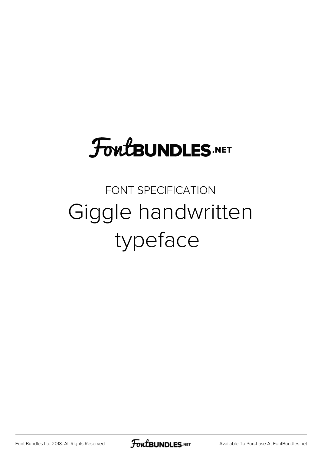## **FoutBUNDLES.NET**

## FONT SPECIFICATION Giggle handwritten typeface

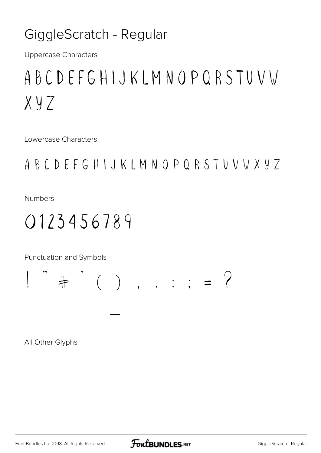#### GiggleScratch - Regular

**Uppercase Characters** 

## ABCDEFGHIJKLMNOPQRSTUVV  $XYZ$

Lowercase Characters

### A B C D E F G H I J K L M N O P Q R S T U V W X Y Z

**Numbers** 

### 0123456789

**Punctuation and Symbols** 



All Other Glyphs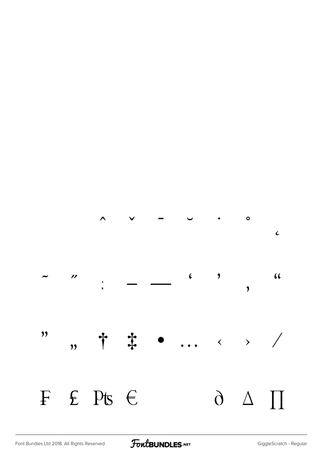

[Font Bundles Ltd 2018. All Rights Reserved](https://fontbundles.net/) **FoutBUNDLES.NET** [GiggleScratch - Regular](https://fontbundles.net/)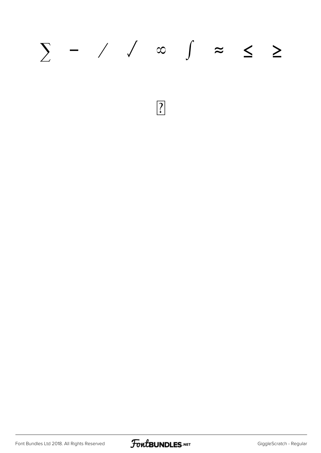# ∑ − ∕ √ ∞ ∫ ≈ ≤ ≥  $\boxed{?}$

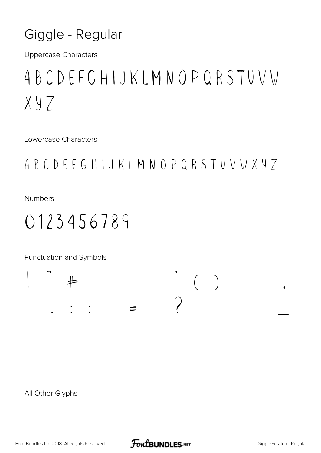### Giggle - Regular

**Uppercase Characters** 

## ABCDEFGHIJKLMNOPQRSTUVV  $XYZ$

Lowercase Characters

### ABCDEFGHIJKLMNOPQRSTUVVXYZ

**Numbers** 

### 0123456789

**Punctuation and Symbols** 



All Other Glyphs

 $\bigcup$